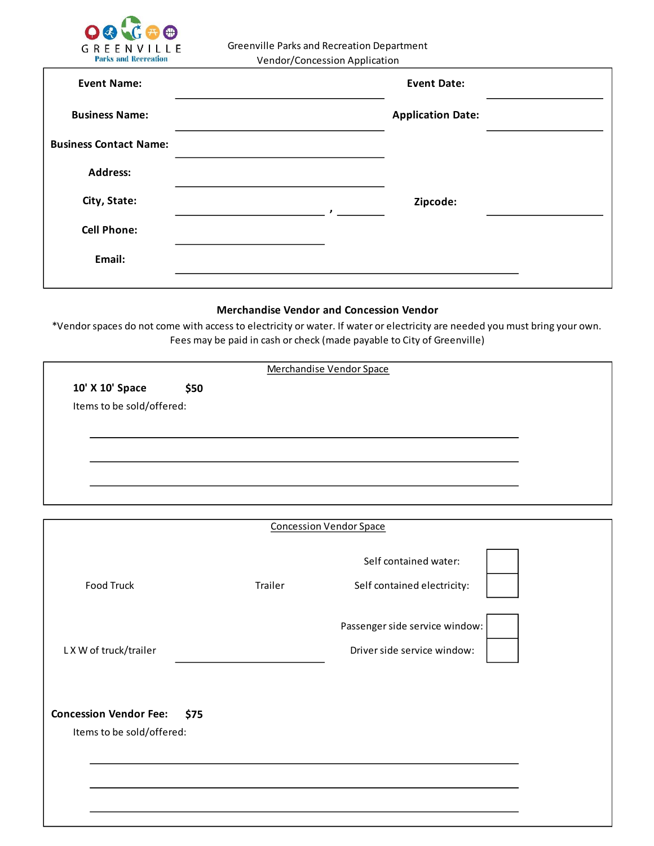

Greenville Parks and Recreation Department Vendor/Concession Application

| <b>Event Name:</b>            | <b>Event Date:</b>       |
|-------------------------------|--------------------------|
| <b>Business Name:</b>         | <b>Application Date:</b> |
| <b>Business Contact Name:</b> |                          |
| <b>Address:</b>               |                          |
| City, State:                  | Zipcode:                 |
| <b>Cell Phone:</b>            |                          |
| Email:                        |                          |
|                               |                          |

## **Merchandise Vendor and Concession Vendor**

\*Vendor spaces do not come with access to electricity or water. If water or electricity are needed you must bring your own. Fees may be paid in cash or check (made payable to City of Greenville)

|                           |      |         | Merchandise Vendor Space       |
|---------------------------|------|---------|--------------------------------|
| 10' X 10' Space           | \$50 |         |                                |
| Items to be sold/offered: |      |         |                                |
|                           |      |         |                                |
|                           |      |         |                                |
|                           |      |         |                                |
|                           |      |         |                                |
|                           |      |         |                                |
|                           |      |         | <b>Concession Vendor Space</b> |
|                           |      |         |                                |
|                           |      |         | Self contained water:          |
| Food Truck                |      | Trailer | Self contained electricity:    |

Passenger side service window: L X W of truck/trailer **Driver side service window:** 



**\$75 Concession Vendor Fee:**

Items to be sold/offered: